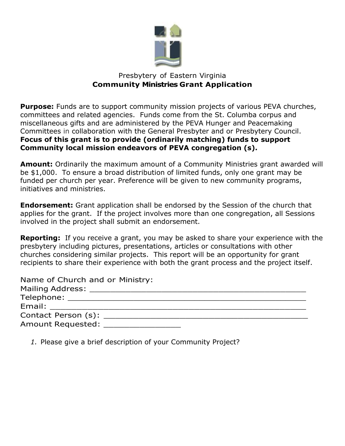

## Presbytery of Eastern Virginia **Community Ministries Grant Application**

**Purpose:** Funds are to support community mission projects of various PEVA churches, committees and related agencies. Funds come from the St. Columba corpus and miscellaneous gifts and are administered by the PEVA Hunger and Peacemaking Committees in collaboration with the General Presbyter and or Presbytery Council. **Focus of this grant is to provide (ordinarily matching) funds to support Community local mission endeavors of PEVA congregation (s).**

**Amount:** Ordinarily the maximum amount of a Community Ministries grant awarded will be \$1,000. To ensure a broad distribution of limited funds, only one grant may be funded per church per year. Preference will be given to new community programs, initiatives and ministries.

**Endorsement:** Grant application shall be endorsed by the Session of the church that applies for the grant. If the project involves more than one congregation, all Sessions involved in the project shall submit an endorsement.

**Reporting:** If you receive a grant, you may be asked to share your experience with the presbytery including pictures, presentations, articles or consultations with other churches considering similar projects. This report will be an opportunity for grant recipients to share their experience with both the grant process and the project itself.

| Name of Church and or Ministry:                                                                                |
|----------------------------------------------------------------------------------------------------------------|
|                                                                                                                |
|                                                                                                                |
| Email: Email: All and the state of the state of the state of the state of the state of the state of the state  |
| Contact Person (s): The contact Person (s):                                                                    |
| Amount Requested: The control of the control of the control of the control of the control of the control of th |

*1.* Please give a brief description of your Community Project?